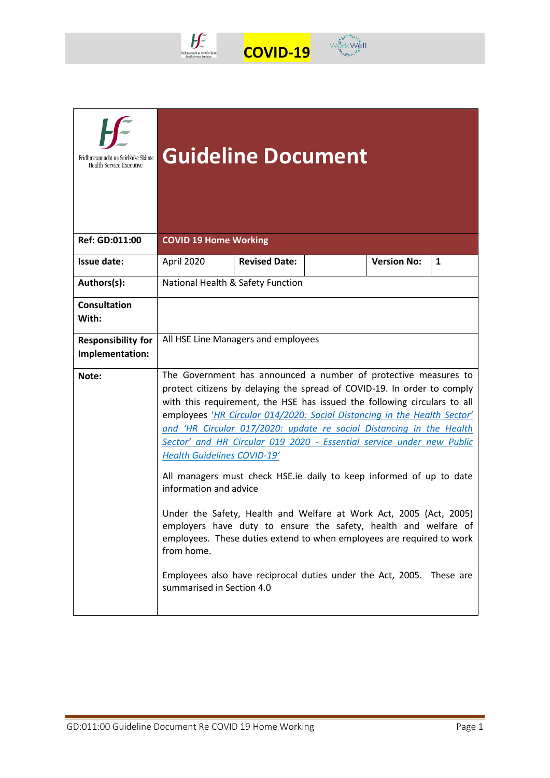



| Feidhmeannacht na Seirbhíse Sláinte<br>Health Service Executive | <b>Guideline Document</b>                                                                                                                                                                                                                                                                                                                                                                                                                                                                                                                                                                                                                                                                                                                                                                                                                                                                                                       |                      |  |                    |   |  |
|-----------------------------------------------------------------|---------------------------------------------------------------------------------------------------------------------------------------------------------------------------------------------------------------------------------------------------------------------------------------------------------------------------------------------------------------------------------------------------------------------------------------------------------------------------------------------------------------------------------------------------------------------------------------------------------------------------------------------------------------------------------------------------------------------------------------------------------------------------------------------------------------------------------------------------------------------------------------------------------------------------------|----------------------|--|--------------------|---|--|
| Ref: GD:011:00                                                  | <b>COVID 19 Home Working</b>                                                                                                                                                                                                                                                                                                                                                                                                                                                                                                                                                                                                                                                                                                                                                                                                                                                                                                    |                      |  |                    |   |  |
| Issue date:                                                     | April 2020                                                                                                                                                                                                                                                                                                                                                                                                                                                                                                                                                                                                                                                                                                                                                                                                                                                                                                                      | <b>Revised Date:</b> |  | <b>Version No:</b> | 1 |  |
| Authors(s):                                                     | National Health & Safety Function                                                                                                                                                                                                                                                                                                                                                                                                                                                                                                                                                                                                                                                                                                                                                                                                                                                                                               |                      |  |                    |   |  |
| <b>Consultation</b><br>With:                                    |                                                                                                                                                                                                                                                                                                                                                                                                                                                                                                                                                                                                                                                                                                                                                                                                                                                                                                                                 |                      |  |                    |   |  |
| <b>Responsibility for</b><br>Implementation:                    | All HSE Line Managers and employees                                                                                                                                                                                                                                                                                                                                                                                                                                                                                                                                                                                                                                                                                                                                                                                                                                                                                             |                      |  |                    |   |  |
| Note:                                                           | The Government has announced a number of protective measures to<br>protect citizens by delaying the spread of COVID-19. In order to comply<br>with this requirement, the HSE has issued the following circulars to all<br>employees 'HR Circular 014/2020: Social Distancing in the Health Sector'<br>and 'HR Circular 017/2020: update re social Distancing in the Health<br>Sector' and HR Circular 019 2020 - Essential service under new Public<br><b>Health Guidelines COVID-19'</b><br>All managers must check HSE.ie daily to keep informed of up to date<br>information and advice<br>Under the Safety, Health and Welfare at Work Act, 2005 (Act, 2005)<br>employers have duty to ensure the safety, health and welfare of<br>employees. These duties extend to when employees are required to work<br>from home.<br>Employees also have reciprocal duties under the Act, 2005. These are<br>summarised in Section 4.0 |                      |  |                    |   |  |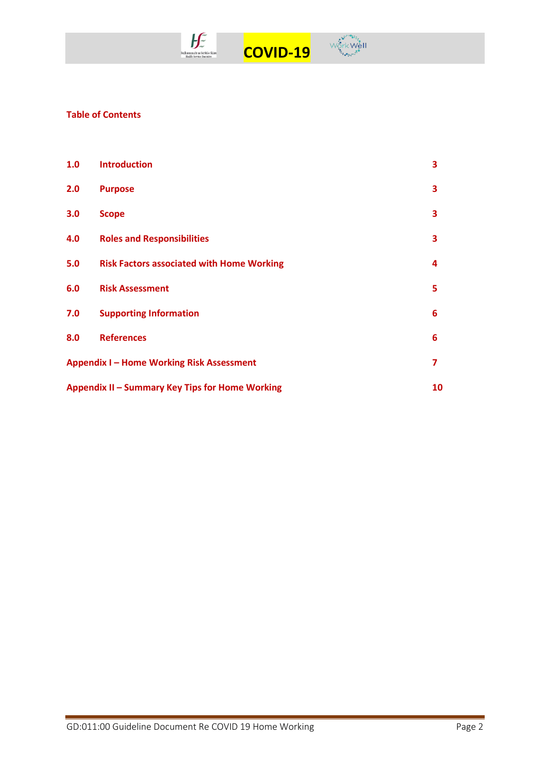

**Table of Contents** 

| 1.0 | <b>Introduction</b>                              | 3  |
|-----|--------------------------------------------------|----|
| 2.0 | <b>Purpose</b>                                   | 3  |
| 3.0 | <b>Scope</b>                                     | 3  |
| 4.0 | <b>Roles and Responsibilities</b>                | 3  |
| 5.0 | <b>Risk Factors associated with Home Working</b> | 4  |
| 6.0 | <b>Risk Assessment</b>                           | 5  |
| 7.0 | <b>Supporting Information</b>                    | 6  |
| 8.0 | <b>References</b>                                | 6  |
|     | <b>Appendix I-Home Working Risk Assessment</b>   | 7  |
|     | Appendix II - Summary Key Tips for Home Working  | 10 |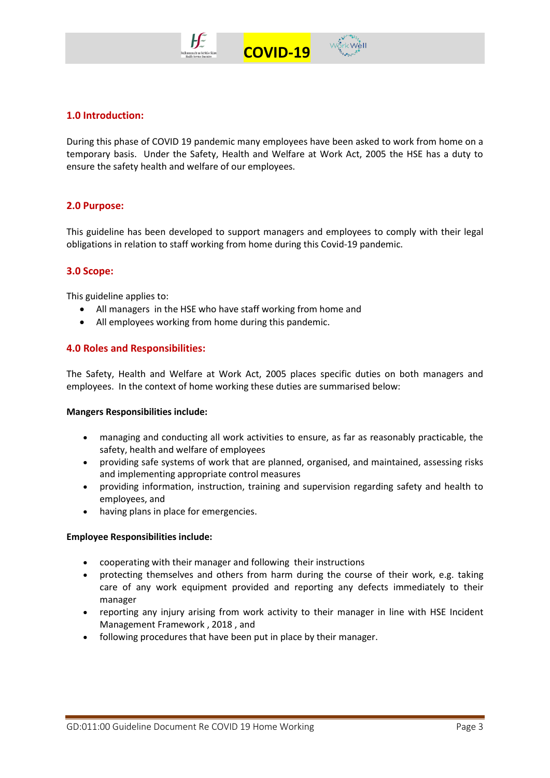



### **1.0 Introduction:**

During this phase of COVID 19 pandemic many employees have been asked to work from home on a temporary basis. Under the Safety, Health and Welfare at Work Act, 2005 the HSE has a duty to ensure the safety health and welfare of our employees.

#### **2.0 Purpose:**

This guideline has been developed to support managers and employees to comply with their legal obligations in relation to staff working from home during this Covid-19 pandemic.

#### **3.0 Scope:**

This guideline applies to:

- All managers in the HSE who have staff working from home and
- All employees working from home during this pandemic.

#### **4.0 Roles and Responsibilities:**

The Safety, Health and Welfare at Work Act, 2005 places specific duties on both managers and employees. In the context of home working these duties are summarised below:

#### **Mangers Responsibilities include:**

- managing and conducting all work activities to ensure, as far as reasonably practicable, the safety, health and welfare of employees
- providing safe systems of work that are planned, organised, and maintained, assessing risks and implementing appropriate control measures
- providing information, instruction, training and supervision regarding safety and health to employees, and
- having plans in place for emergencies.

#### **Employee Responsibilities include:**

- cooperating with their manager and following their instructions
- protecting themselves and others from harm during the course of their work, e.g. taking care of any work equipment provided and reporting any defects immediately to their manager
- reporting any injury arising from work activity to their manager in line with HSE Incident Management Framework , 2018 , and
- following procedures that have been put in place by their manager.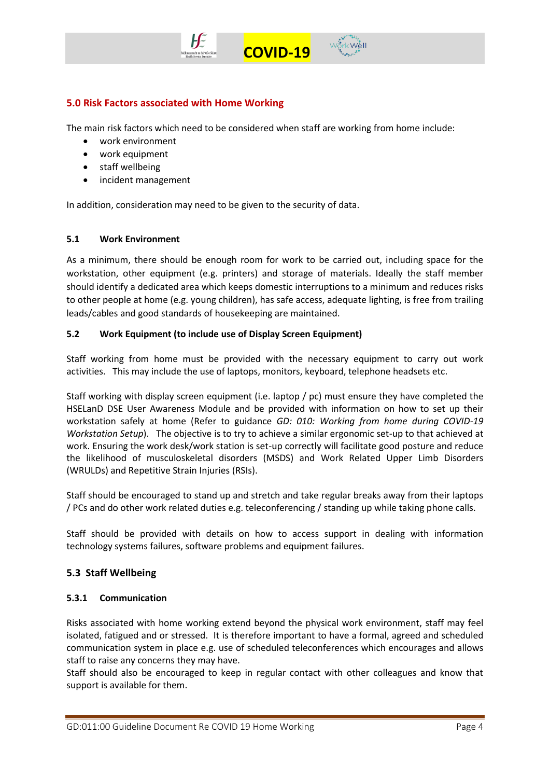

## **5.0 Risk Factors associated with Home Working**

The main risk factors which need to be considered when staff are working from home include:

- work environment
- work equipment
- staff wellbeing
- incident management

In addition, consideration may need to be given to the security of data.

#### **5.1 Work Environment**

As a minimum, there should be enough room for work to be carried out, including space for the workstation, other equipment (e.g. printers) and storage of materials. Ideally the staff member should identify a dedicated area which keeps domestic interruptions to a minimum and reduces risks to other people at home (e.g. young children), has safe access, adequate lighting, is free from trailing leads/cables and good standards of housekeeping are maintained.

### **5.2 Work Equipment (to include use of Display Screen Equipment)**

Staff working from home must be provided with the necessary equipment to carry out work activities. This may include the use of laptops, monitors, keyboard, telephone headsets etc.

Staff working with display screen equipment (i.e. laptop / pc) must ensure they have completed the HSELanD DSE User Awareness Module and be provided with information on how to set up their workstation safely at home (Refer to guidance *GD: 010: Working from home during COVID-19 Workstation Setup*). The objective is to try to achieve a similar ergonomic set-up to that achieved at work. Ensuring the work desk/work station is set-up correctly will facilitate good posture and reduce the likelihood of musculoskeletal disorders (MSDS) and Work Related Upper Limb Disorders (WRULDs) and Repetitive Strain Injuries (RSIs).

Staff should be encouraged to stand up and stretch and take regular breaks away from their laptops / PCs and do other work related duties e.g. teleconferencing / standing up while taking phone calls.

Staff should be provided with details on how to access support in dealing with information technology systems failures, software problems and equipment failures.

## **5.3 Staff Wellbeing**

#### **5.3.1 Communication**

Risks associated with home working extend beyond the physical work environment, staff may feel isolated, fatigued and or stressed. It is therefore important to have a formal, agreed and scheduled communication system in place e.g. use of scheduled teleconferences which encourages and allows staff to raise any concerns they may have.

Staff should also be encouraged to keep in regular contact with other colleagues and know that support is available for them.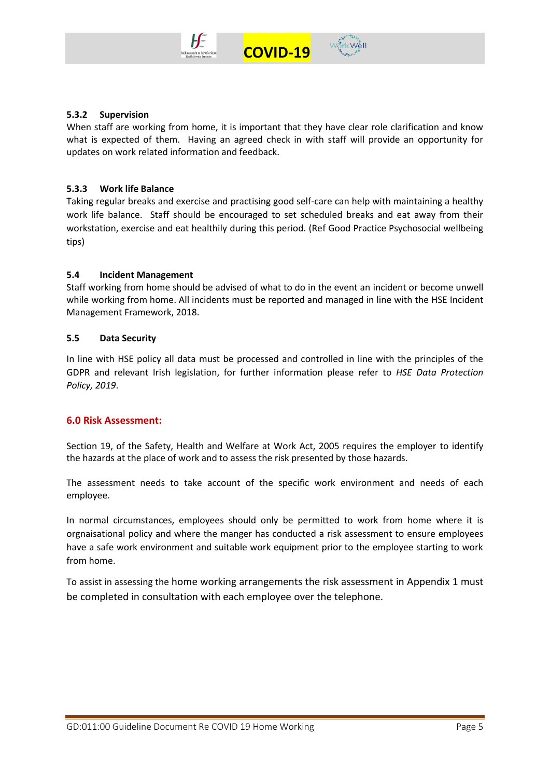



When staff are working from home, it is important that they have clear role clarification and know what is expected of them. Having an agreed check in with staff will provide an opportunity for updates on work related information and feedback.

 **COVID-19** 

### **5.3.3 Work life Balance**

Taking regular breaks and exercise and practising good self-care can help with maintaining a healthy work life balance. Staff should be encouraged to set scheduled breaks and eat away from their workstation, exercise and eat healthily during this period. (Ref Good Practice Psychosocial wellbeing tips)

### **5.4 Incident Management**

Staff working from home should be advised of what to do in the event an incident or become unwell while working from home. All incidents must be reported and managed in line with the HSE Incident Management Framework, 2018.

#### **5.5 Data Security**

In line with HSE policy all data must be processed and controlled in line with the principles of the GDPR and relevant Irish legislation, for further information please refer to *HSE Data Protection Policy, 2019*.

## **6.0 Risk Assessment:**

Section 19, of the Safety, Health and Welfare at Work Act, 2005 requires the employer to identify the hazards at the place of work and to assess the risk presented by those hazards.

The assessment needs to take account of the specific work environment and needs of each employee.

In normal circumstances, employees should only be permitted to work from home where it is orgnaisational policy and where the manger has conducted a risk assessment to ensure employees have a safe work environment and suitable work equipment prior to the employee starting to work from home.

To assist in assessing the home working arrangements the risk assessment in Appendix 1 must be completed in consultation with each employee over the telephone.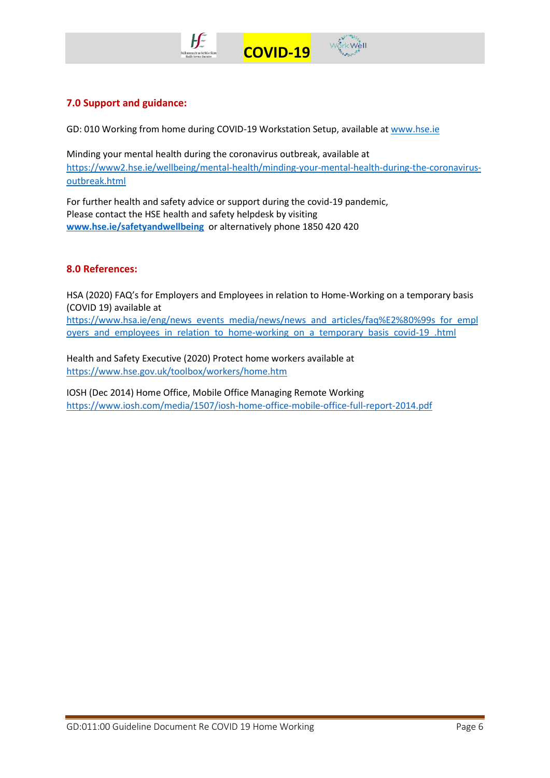

## **7.0 Support and guidance:**

GD: 010 Working from home during COVID-19 Workstation Setup, available at [www.hse.ie](http://www.hse.ie/)

Minding your mental health during the coronavirus outbreak, available at [https://www2.hse.ie/wellbeing/mental-health/minding-your-mental-health-during-the-coronavirus](https://www2.hse.ie/wellbeing/mental-health/minding-your-mental-health-during-the-coronavirus-outbreak.html)[outbreak.html](https://www2.hse.ie/wellbeing/mental-health/minding-your-mental-health-during-the-coronavirus-outbreak.html)

 **COVID-19** 

For further health and safety advice or support during the covid-19 pandemic, Please contact the HSE health and safety helpdesk by visiting **[www.hse.ie/safetyandwellbeing](http://www.hse.ie/safetyandwellbeing)** or alternatively phone 1850 420 420

## **8.0 References:**

HSA (2020) FAQ's for Employers and Employees in relation to Home-Working on a temporary basis (COVID 19) available at [https://www.hsa.ie/eng/news\\_events\\_media/news/news\\_and\\_articles/faq%E2%80%99s\\_for\\_empl](https://www.hsa.ie/eng/news_events_media/news/news_and_articles/faq%E2%80%99s_for_employers_and_employees_in_relation_to_home-working_on_a_temporary_basis_covid-19_.html) oyers and employees in relation to home-working on a temporary basis covid-19 .html

Health and Safety Executive (2020) Protect home workers available at <https://www.hse.gov.uk/toolbox/workers/home.htm>

IOSH (Dec 2014) Home Office, Mobile Office Managing Remote Working <https://www.iosh.com/media/1507/iosh-home-office-mobile-office-full-report-2014.pdf>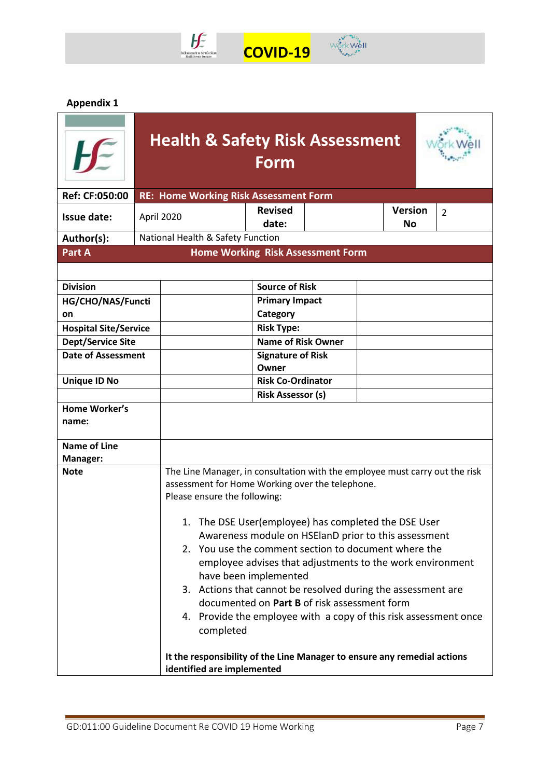

# $\mathbb{W}^{\mathring{\bullet}\mathring{\bullet}^{\mathring{\bullet}^{\mathring{\bullet}^{\mathring{\bullet}^{\mathring{\bullet}^{\mathring{\bullet}^{\mathring{\bullet}^{\mathring{\bullet}^{\mathring{\bullet}^{\mathring{\bullet}^{\mathring{\bullet}^{\mathring{\bullet}^{\mathring{\bullet}^{\mathring{\bullet}^{\mathring{\bullet}^{\mathring{\bullet}^{\mathring{\bullet}^{\mathring{\bullet}^{\mathring{\bullet}^{\mathring{\bullet}^{\mathring{\bullet}^{\mathring{\bullet}^{\mathring{\bullet}^{\mathring{\bullet}^{\mathring{\bullet}^{\mathring{\bullet}^{\mathring{\bullet}^{\mathring{\bullet}^{\mathring{\bullet}^{\mathring{\bullet$  **COVID-19**

**Appendix 1** 

|                                                      | <b>Health &amp; Safety Risk Assessment</b>                                                                                                                                                                                                                                                                                                                                                                                      | Form                                                                                                                                                                                       |  |                             |                |
|------------------------------------------------------|---------------------------------------------------------------------------------------------------------------------------------------------------------------------------------------------------------------------------------------------------------------------------------------------------------------------------------------------------------------------------------------------------------------------------------|--------------------------------------------------------------------------------------------------------------------------------------------------------------------------------------------|--|-----------------------------|----------------|
| Ref: CF:050:00                                       | <b>RE: Home Working Risk Assessment Form</b>                                                                                                                                                                                                                                                                                                                                                                                    |                                                                                                                                                                                            |  |                             |                |
| <b>Issue date:</b>                                   | April 2020                                                                                                                                                                                                                                                                                                                                                                                                                      | <b>Revised</b><br>date:                                                                                                                                                                    |  | <b>Version</b><br><b>No</b> | $\overline{2}$ |
| Author(s):                                           | National Health & Safety Function                                                                                                                                                                                                                                                                                                                                                                                               |                                                                                                                                                                                            |  |                             |                |
| Part A                                               |                                                                                                                                                                                                                                                                                                                                                                                                                                 | Home Working Risk Assessment Form                                                                                                                                                          |  |                             |                |
|                                                      |                                                                                                                                                                                                                                                                                                                                                                                                                                 |                                                                                                                                                                                            |  |                             |                |
| <b>Division</b>                                      |                                                                                                                                                                                                                                                                                                                                                                                                                                 | <b>Source of Risk</b>                                                                                                                                                                      |  |                             |                |
| HG/CHO/NAS/Functi                                    |                                                                                                                                                                                                                                                                                                                                                                                                                                 | <b>Primary Impact</b>                                                                                                                                                                      |  |                             |                |
| on                                                   |                                                                                                                                                                                                                                                                                                                                                                                                                                 | Category                                                                                                                                                                                   |  |                             |                |
| <b>Hospital Site/Service</b>                         |                                                                                                                                                                                                                                                                                                                                                                                                                                 | <b>Risk Type:</b>                                                                                                                                                                          |  |                             |                |
| <b>Dept/Service Site</b>                             |                                                                                                                                                                                                                                                                                                                                                                                                                                 | <b>Name of Risk Owner</b>                                                                                                                                                                  |  |                             |                |
| <b>Date of Assessment</b>                            |                                                                                                                                                                                                                                                                                                                                                                                                                                 | <b>Signature of Risk</b><br>Owner                                                                                                                                                          |  |                             |                |
| <b>Unique ID No</b>                                  |                                                                                                                                                                                                                                                                                                                                                                                                                                 | <b>Risk Co-Ordinator</b>                                                                                                                                                                   |  |                             |                |
|                                                      |                                                                                                                                                                                                                                                                                                                                                                                                                                 | <b>Risk Assessor (s)</b>                                                                                                                                                                   |  |                             |                |
| <b>Home Worker's</b><br>name:<br><b>Name of Line</b> |                                                                                                                                                                                                                                                                                                                                                                                                                                 |                                                                                                                                                                                            |  |                             |                |
| Manager:                                             |                                                                                                                                                                                                                                                                                                                                                                                                                                 |                                                                                                                                                                                            |  |                             |                |
| <b>Note</b>                                          | The Line Manager, in consultation with the employee must carry out the risk<br>assessment for Home Working over the telephone.<br>Please ensure the following:<br>1. The DSE User(employee) has completed the DSE User<br>2. You use the comment section to document where the<br>3. Actions that cannot be resolved during the assessment are<br>4. Provide the employee with a copy of this risk assessment once<br>completed | Awareness module on HSEIanD prior to this assessment<br>employee advises that adjustments to the work environment<br>have been implemented<br>documented on Part B of risk assessment form |  |                             |                |
|                                                      | It the responsibility of the Line Manager to ensure any remedial actions<br>identified are implemented                                                                                                                                                                                                                                                                                                                          |                                                                                                                                                                                            |  |                             |                |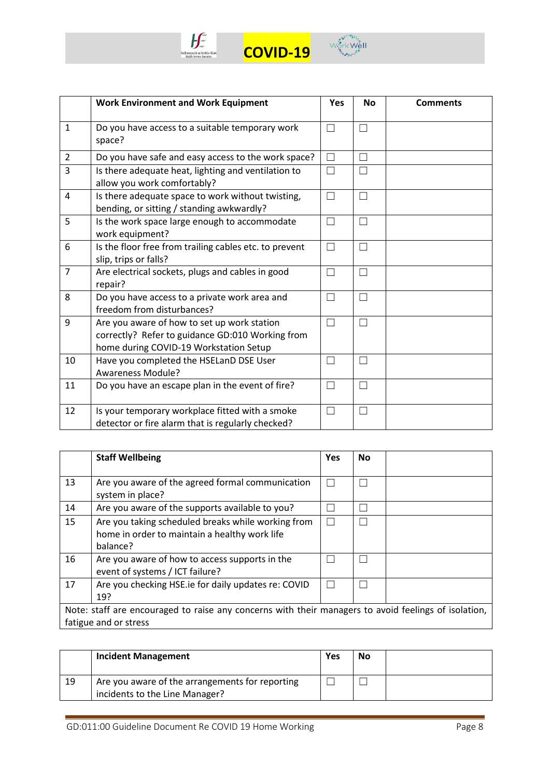



|                | <b>Work Environment and Work Equipment</b>                                                                                                | <b>Yes</b> | <b>No</b> | <b>Comments</b> |
|----------------|-------------------------------------------------------------------------------------------------------------------------------------------|------------|-----------|-----------------|
| $\mathbf{1}$   | Do you have access to a suitable temporary work<br>space?                                                                                 | П          | Г         |                 |
| $\overline{2}$ | Do you have safe and easy access to the work space?                                                                                       | П          | Г         |                 |
| $\overline{3}$ | Is there adequate heat, lighting and ventilation to<br>allow you work comfortably?                                                        | П          | П         |                 |
| $\overline{4}$ | Is there adequate space to work without twisting,<br>bending, or sitting / standing awkwardly?                                            | $\Box$     | $\Box$    |                 |
| 5              | Is the work space large enough to accommodate<br>work equipment?                                                                          | $\Box$     | Г         |                 |
| 6              | Is the floor free from trailing cables etc. to prevent<br>slip, trips or falls?                                                           | П          | П         |                 |
| $\overline{7}$ | Are electrical sockets, plugs and cables in good<br>repair?                                                                               | $\Box$     | Г         |                 |
| 8              | Do you have access to a private work area and<br>freedom from disturbances?                                                               | $\Box$     | Г         |                 |
| 9              | Are you aware of how to set up work station<br>correctly? Refer to guidance GD:010 Working from<br>home during COVID-19 Workstation Setup | П          | Г         |                 |
| 10             | Have you completed the HSELanD DSE User<br><b>Awareness Module?</b>                                                                       | П          | Г         |                 |
| 11             | Do you have an escape plan in the event of fire?                                                                                          | П          | Г         |                 |
| 12             | Is your temporary workplace fitted with a smoke<br>detector or fire alarm that is regularly checked?                                      | П          | Г         |                 |

|                                                                                                                               | <b>Staff Wellbeing</b>                                                                                          | <b>Yes</b> | <b>No</b> |  |  |
|-------------------------------------------------------------------------------------------------------------------------------|-----------------------------------------------------------------------------------------------------------------|------------|-----------|--|--|
| 13                                                                                                                            | Are you aware of the agreed formal communication<br>system in place?                                            |            |           |  |  |
| 14                                                                                                                            | Are you aware of the supports available to you?                                                                 |            |           |  |  |
| 15                                                                                                                            | Are you taking scheduled breaks while working from<br>home in order to maintain a healthy work life<br>balance? |            |           |  |  |
| 16                                                                                                                            | Are you aware of how to access supports in the<br>event of systems / ICT failure?                               |            |           |  |  |
| 17                                                                                                                            | Are you checking HSE ie for daily updates re: COVID<br>19?                                                      |            |           |  |  |
| Note: staff are encouraged to raise any concerns with their managers to avoid feelings of isolation,<br>fatigue and or stress |                                                                                                                 |            |           |  |  |
|                                                                                                                               |                                                                                                                 |            |           |  |  |

|    | <b>Incident Management</b>                                                        | Yes | No |  |
|----|-----------------------------------------------------------------------------------|-----|----|--|
| 19 | Are you aware of the arrangements for reporting<br>incidents to the Line Manager? |     |    |  |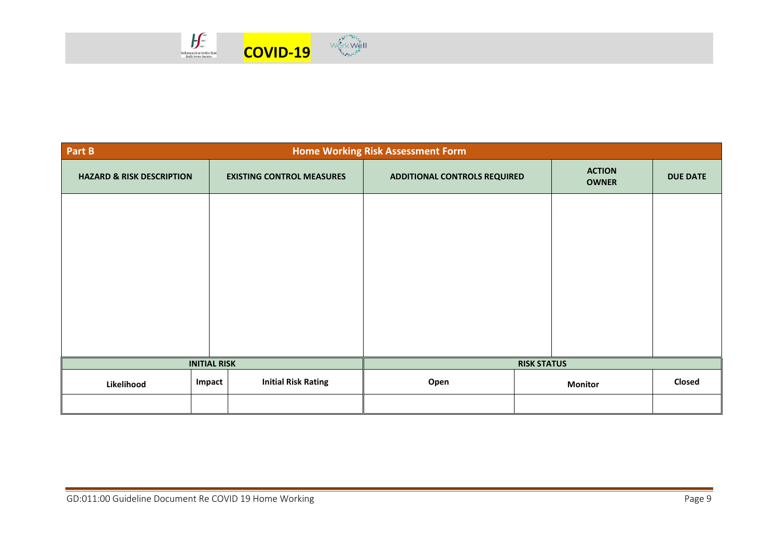

| <b>Home Working Risk Assessment Form</b><br>Part B |        |                                  |                                     |  |                               |                 |
|----------------------------------------------------|--------|----------------------------------|-------------------------------------|--|-------------------------------|-----------------|
| <b>HAZARD &amp; RISK DESCRIPTION</b>               |        | <b>EXISTING CONTROL MEASURES</b> | <b>ADDITIONAL CONTROLS REQUIRED</b> |  | <b>ACTION</b><br><b>OWNER</b> | <b>DUE DATE</b> |
|                                                    |        |                                  |                                     |  |                               |                 |
|                                                    |        |                                  |                                     |  |                               |                 |
|                                                    |        |                                  |                                     |  |                               |                 |
|                                                    |        |                                  |                                     |  |                               |                 |
|                                                    |        |                                  |                                     |  |                               |                 |
|                                                    |        |                                  |                                     |  |                               |                 |
|                                                    |        |                                  |                                     |  |                               |                 |
| <b>INITIAL RISK</b>                                |        | <b>RISK STATUS</b>               |                                     |  |                               |                 |
| Likelihood                                         | Impact | <b>Initial Risk Rating</b>       | Open                                |  | <b>Monitor</b>                | Closed          |
|                                                    |        |                                  |                                     |  |                               |                 |